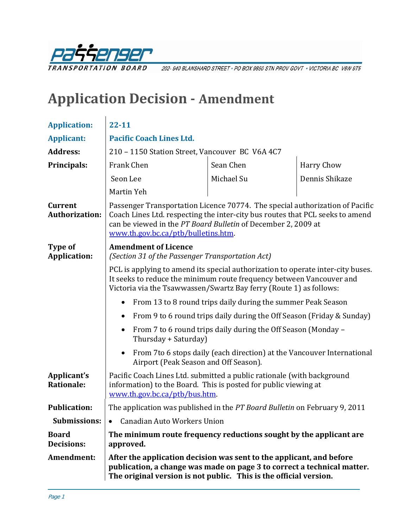

202-940 BLANSHARD STREET · PO BOX 9850 STN PROV GOVT · VICTORIA BC V8W 9T5

# **Application Decision Amendment**

| <b>Application:</b>                     | $22 - 11$                                                                                                                                                                                                                                                                                                        |                                                                        |                   |
|-----------------------------------------|------------------------------------------------------------------------------------------------------------------------------------------------------------------------------------------------------------------------------------------------------------------------------------------------------------------|------------------------------------------------------------------------|-------------------|
| <b>Applicant:</b>                       | <b>Pacific Coach Lines Ltd.</b>                                                                                                                                                                                                                                                                                  |                                                                        |                   |
| <b>Address:</b>                         | 210 - 1150 Station Street, Vancouver BC V6A 4C7                                                                                                                                                                                                                                                                  |                                                                        |                   |
| Principals:                             | Frank Chen                                                                                                                                                                                                                                                                                                       | Sean Chen                                                              | <b>Harry Chow</b> |
|                                         | Seon Lee                                                                                                                                                                                                                                                                                                         | Michael Su                                                             | Dennis Shikaze    |
|                                         | Martin Yeh                                                                                                                                                                                                                                                                                                       |                                                                        |                   |
| <b>Current</b><br><b>Authorization:</b> | Passenger Transportation Licence 70774. The special authorization of Pacific<br>Coach Lines Ltd. respecting the inter-city bus routes that PCL seeks to amend<br>can be viewed in the PT Board Bulletin of December 2, 2009 at<br>www.th.gov.bc.ca/ptb/bulletins.htm.                                            |                                                                        |                   |
| Type of<br><b>Application:</b>          | <b>Amendment of Licence</b><br>(Section 31 of the Passenger Transportation Act)<br>PCL is applying to amend its special authorization to operate inter-city buses.<br>It seeks to reduce the minimum route frequency between Vancouver and<br>Victoria via the Tsawwassen/Swartz Bay ferry (Route 1) as follows: |                                                                        |                   |
|                                         |                                                                                                                                                                                                                                                                                                                  |                                                                        |                   |
|                                         | From 13 to 8 round trips daily during the summer Peak Season<br>$\bullet$                                                                                                                                                                                                                                        |                                                                        |                   |
|                                         | From 9 to 6 round trips daily during the Off Season (Friday & Sunday)<br>$\bullet$                                                                                                                                                                                                                               |                                                                        |                   |
|                                         | From 7 to 6 round trips daily during the Off Season (Monday -<br>$\bullet$<br>Thursday + Saturday)                                                                                                                                                                                                               |                                                                        |                   |
|                                         | $\bullet$<br>Airport (Peak Season and Off Season).                                                                                                                                                                                                                                                               | From 7to 6 stops daily (each direction) at the Vancouver International |                   |
| Applicant's<br><b>Rationale:</b>        | Pacific Coach Lines Ltd. submitted a public rationale (with background<br>information) to the Board. This is posted for public viewing at<br>www.th.gov.bc.ca/ptb/bus.htm.                                                                                                                                       |                                                                        |                   |
| <b>Publication:</b>                     | The application was published in the PT Board Bulletin on February 9, 2011                                                                                                                                                                                                                                       |                                                                        |                   |
| <b>Submissions:</b>                     | <b>Canadian Auto Workers Union</b><br>$\bullet$                                                                                                                                                                                                                                                                  |                                                                        |                   |
| <b>Board</b><br><b>Decisions:</b>       | The minimum route frequency reductions sought by the applicant are<br>approved.                                                                                                                                                                                                                                  |                                                                        |                   |
| Amendment:                              | After the application decision was sent to the applicant, and before<br>publication, a change was made on page 3 to correct a technical matter.<br>The original version is not public. This is the official version.                                                                                             |                                                                        |                   |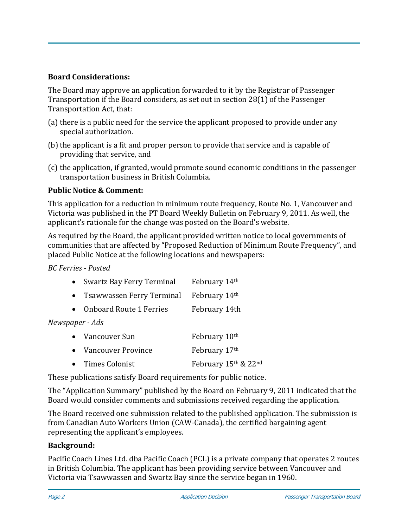# **Board Considerations:**

The Board may approve an application forwarded to it by the Registrar of Passenger Transportation if the Board considers, as set out in section 28(1) of the Passenger Transportation Act, that:

- (a) there is a public need for the service the applicant proposed to provide under any special authorization.
- (b) the applicant is a fit and proper person to provide that service and is capable of providing that service, and
- (c) the application, if granted, would promote sound economic conditions in the passenger transportation business in British Columbia.

# **Public Notice & Comment:**

This application for a reduction in minimum route frequency, Route No. 1, Vancouver and Victoria was published in the PT Board Weekly Bulletin on February 9, 2011. As well, the applicant's rationale for the change was posted on the Board's website.

As required by the Board, the applicant provided written notice to local governments of communities that are affected by "Proposed Reduction of Minimum Route Frequency", and placed Public Notice at the following locations and newspapers:

*BC Ferries Posted*

|                 | Swartz Bay Ferry Terminal      | February 14th        |
|-----------------|--------------------------------|----------------------|
|                 | • Tsawwassen Ferry Terminal    | February 14th        |
| $\bullet$       | <b>Onboard Route 1 Ferries</b> | February 14th        |
| Newspaper - Ads |                                |                      |
|                 | Vancouver Sun                  | February 10th        |
| $\bullet$       | Vancouver Province             | February 17th        |
|                 | Times Colonist                 | February 15th & 22nd |

These publications satisfy Board requirements for public notice.

The "Application Summary" published by the Board on February 9, 2011 indicated that the Board would consider comments and submissions received regarding the application.

The Board received one submission related to the published application. The submission is from Canadian Auto Workers Union (CAW‐Canada), the certified bargaining agent representing the applicant's employees.

## **Background:**

Pacific Coach Lines Ltd. dba Pacific Coach (PCL) is a private company that operates 2 routes in British Columbia. The applicant has been providing service between Vancouver and Victoria via Tsawwassen and Swartz Bay since the service began in 1960.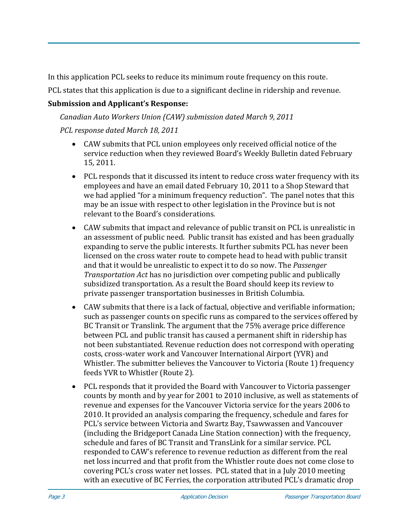In this application PCL seeks to reduce its minimum route frequency on this route.

PCL states that this application is due to a significant decline in ridership and revenue.

# **Submission and Applicant's Response:**

*Canadian Auto Workers Union (CAW) submission dated March 9, 2011 PCL response dated March 18, 2011* 

- CAW submits that PCL union employees only received official notice of the service reduction when they reviewed Board's Weekly Bulletin dated February 15, 2011.
- PCL responds that it discussed its intent to reduce cross water frequency with its employees and have an email dated February 10, 2011 to a Shop Steward that we had applied "for a minimum frequency reduction". The panel notes that this may be an issue with respect to other legislation in the Province but is not relevant to the Board's considerations.
- CAW submits that impact and relevance of public transit on PCL is unrealistic in an assessment of public need. Public transit has existed and has been gradually expanding to serve the public interests. It further submits PCL has never been licensed on the cross water route to compete head to head with public transit and that it would be unrealistic to expect it to do so now. The *Passenger Transportation Act* has no jurisdiction over competing public and publically subsidized transportation. As a result the Board should keep its review to private passenger transportation businesses in British Columbia.
- CAW submits that there is a lack of factual, objective and verifiable information; such as passenger counts on specific runs as compared to the services offered by BC Transit or Translink. The argument that the 75% average price difference between PCL and public transit has caused a permanent shift in ridership has not been substantiated. Revenue reduction does not correspond with operating costs, cross‐water work and Vancouver International Airport (YVR) and Whistler. The submitter believes the Vancouver to Victoria (Route 1) frequency feeds YVR to Whistler (Route 2).
- PCL responds that it provided the Board with Vancouver to Victoria passenger counts by month and by year for 2001 to 2010 inclusive, as well as statements of revenue and expenses for the Vancouver Victoria service for the years 2006 to 2010. It provided an analysis comparing the frequency, schedule and fares for PCL's service between Victoria and Swartz Bay, Tsawwassen and Vancouver (including the Bridgeport Canada Line Station connection) with the frequency, schedule and fares of BC Transit and TransLink for a similar service. PCL responded to CAW's reference to revenue reduction as different from the real net loss incurred and that profit from the Whistler route does not come close to covering PCL's cross water net losses. PCL stated that in a July 2010 meeting with an executive of BC Ferries, the corporation attributed PCL's dramatic drop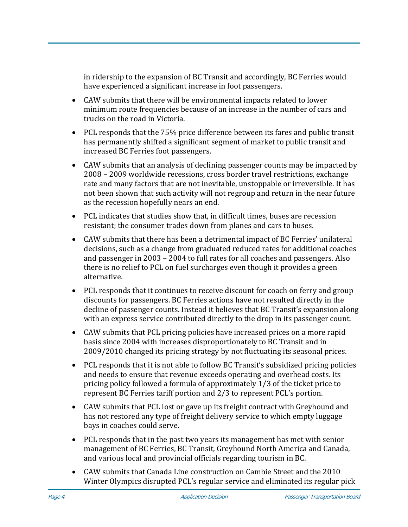in ridership to the expansion of BC Transit and accordingly, BC Ferries would have experienced a significant increase in foot passengers.

- CAW submits that there will be environmental impacts related to lower minimum route frequencies because of an increase in the number of cars and trucks on the road in Victoria.
- PCL responds that the 75% price difference between its fares and public transit has permanently shifted a significant segment of market to public transit and increased BC Ferries foot passengers.
- CAW submits that an analysis of declining passenger counts may be impacted by 2008 – 2009 worldwide recessions, cross border travel restrictions, exchange rate and many factors that are not inevitable, unstoppable or irreversible. It has not been shown that such activity will not regroup and return in the near future as the recession hopefully nears an end.
- PCL indicates that studies show that, in difficult times, buses are recession resistant; the consumer trades down from planes and cars to buses.
- CAW submits that there has been a detrimental impact of BC Ferries' unilateral decisions, such as a change from graduated reduced rates for additional coaches and passenger in 2003 – 2004 to full rates for all coaches and passengers. Also there is no relief to PCL on fuel surcharges even though it provides a green alternative.
- PCL responds that it continues to receive discount for coach on ferry and group discounts for passengers. BC Ferries actions have not resulted directly in the decline of passenger counts. Instead it believes that BC Transit's expansion along with an express service contributed directly to the drop in its passenger count.
- CAW submits that PCL pricing policies have increased prices on a more rapid basis since 2004 with increases disproportionately to BC Transit and in 2009/2010 changed its pricing strategy by not fluctuating its seasonal prices.
- PCL responds that it is not able to follow BC Transit's subsidized pricing policies and needs to ensure that revenue exceeds operating and overhead costs. Its pricing policy followed a formula of approximately 1/3 of the ticket price to represent BC Ferries tariff portion and 2/3 to represent PCL's portion.
- CAW submits that PCL lost or gave up its freight contract with Greyhound and has not restored any type of freight delivery service to which empty luggage bays in coaches could serve.
- PCL responds that in the past two years its management has met with senior management of BC Ferries, BC Transit, Greyhound North America and Canada, and various local and provincial officials regarding tourism in BC.
- CAW submits that Canada Line construction on Cambie Street and the 2010 Winter Olympics disrupted PCL's regular service and eliminated its regular pick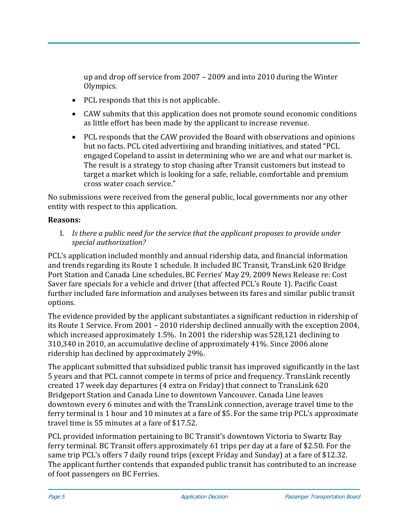up and drop off service from 2007 – 2009 and into 2010 during the Winter Olympics.

- PCL responds that this is not applicable.
- CAW submits that this application does not promote sound economic conditions as little effort has been made by the applicant to increase revenue.
- PCL responds that the CAW provided the Board with observations and opinions but no facts. PCL cited advertising and branding initiatives, and stated "PCL engaged Copeland to assist in determining who we are and what our market is. The result is a strategy to stop chasing after Transit customers but instead to target a market which is looking for a safe, reliable, comfortable and premium cross water coach service."

No submissions were received from the general public, local governments nor any other entity with respect to this application.

## **Reasons:**

I. *Is there a public need for the service that the applicant proposes to provide under special authorization?*

PCL's application included monthly and annual ridership data, and financial information and trends regarding its Route 1 schedule. It included BC Transit, TransLink 620 Bridge Port Station and Canada Line schedules, BC Ferries' May 29, 2009 News Release re: Cost Saver fare specials for a vehicle and driver (that affected PCL's Route 1). Pacific Coast further included fare information and analyses between its fares and similar public transit options.

The evidence provided by the applicant substantiates a significant reduction in ridership of its Route 1 Service. From 2001 – 2010 ridership declined annually with the exception 2004, which increased approximately 1.5%. In 2001 the ridership was 528,121 declining to 310,340 in 2010, an accumulative decline of approximately 41%. Since 2006 alone ridership has declined by approximately 29%.

The applicant submitted that subsidized public transit has improved significantly in the last 5 years and that PCL cannot compete in terms of price and frequency. TransLink recently created 17 week day departures (4 extra on Friday) that connect to TransLink 620 Bridgeport Station and Canada Line to downtown Vancouver. Canada Line leaves downtown every 6 minutes and with the TransLink connection, average travel time to the ferry terminal is 1 hour and 10 minutes at a fare of \$5. For the same trip PCL's approximate travel time is 55 minutes at a fare of \$17.52.

PCL provided information pertaining to BC Transit's downtown Victoria to Swartz Bay ferry terminal. BC Transit offers approximately 61 trips per day at a fare of \$2.50. For the same trip PCL's offers 7 daily round trips (except Friday and Sunday) at a fare of \$12.32. The applicant further contends that expanded public transit has contributed to an increase of foot passengers on BC Ferries.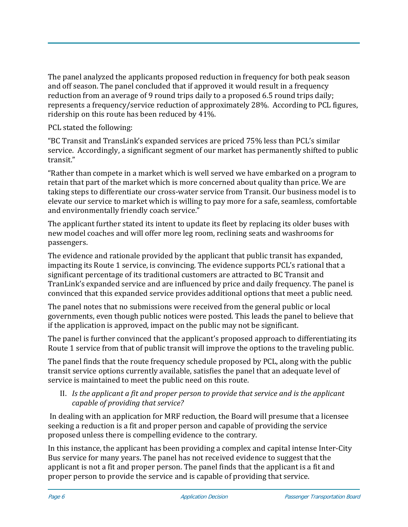The panel analyzed the applicants proposed reduction in frequency for both peak season and off season. The panel concluded that if approved it would result in a frequency reduction from an average of 9 round trips daily to a proposed 6.5 round trips daily; represents a frequency/service reduction of approximately 28%. According to PCL figures, ridership on this route has been reduced by 41%.

PCL stated the following:

"BC Transit and TransLink's expanded services are priced 75% less than PCL's similar service. Accordingly, a significant segment of our market has permanently shifted to public transit."

"Rather than compete in a market which is well served we have embarked on a program to retain that part of the market which is more concerned about quality than price. We are taking steps to differentiate our cross‐water service from Transit. Our business model is to elevate our service to market which is willing to pay more for a safe, seamless, comfortable and environmentally friendly coach service."

The applicant further stated its intent to update its fleet by replacing its older buses with new model coaches and will offer more leg room, reclining seats and washrooms for passengers.

The evidence and rationale provided by the applicant that public transit has expanded, impacting its Route 1 service, is convincing. The evidence supports PCL's rational that a significant percentage of its traditional customers are attracted to BC Transit and TranLink's expanded service and are influenced by price and daily frequency. The panel is convinced that this expanded service provides additional options that meet a public need.

The panel notes that no submissions were received from the general public or local governments, even though public notices were posted. This leads the panel to believe that if the application is approved, impact on the public may not be significant.

The panel is further convinced that the applicant's proposed approach to differentiating its Route 1 service from that of public transit will improve the options to the traveling public.

The panel finds that the route frequency schedule proposed by PCL, along with the public transit service options currently available, satisfies the panel that an adequate level of service is maintained to meet the public need on this route.

# II. *Is the applicant a fit and proper person to provide that service and is the applicant capable of providing that service?*

 In dealing with an application for MRF reduction, the Board will presume that a licensee seeking a reduction is a fit and proper person and capable of providing the service proposed unless there is compelling evidence to the contrary.

In this instance, the applicant has been providing a complex and capital intense Inter‐City Bus service for many years. The panel has not received evidence to suggest that the applicant is not a fit and proper person. The panel finds that the applicant is a fit and proper person to provide the service and is capable of providing that service.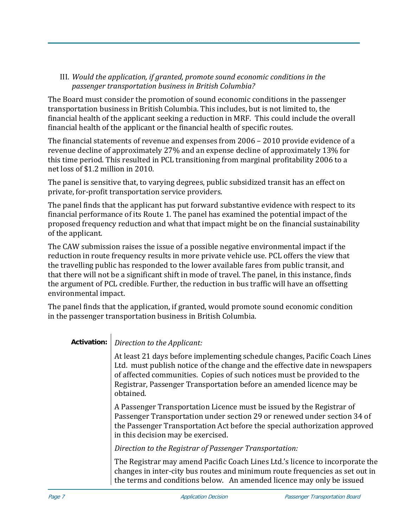# III. *Would the application, if granted, promote sound economic conditions in the passenger transportation business in British Columbia?*

The Board must consider the promotion of sound economic conditions in the passenger transportation business in British Columbia. This includes, but is not limited to, the financial health of the applicant seeking a reduction in MRF. This could include the overall financial health of the applicant or the financial health of specific routes.

The financial statements of revenue and expenses from 2006 – 2010 provide evidence of a revenue decline of approximately 27% and an expense decline of approximately 13% for this time period. This resulted in PCL transitioning from marginal profitability 2006 to a net loss of \$1.2 million in 2010.

The panel is sensitive that, to varying degrees, public subsidized transit has an effect on private, for‐profit transportation service providers.

The panel finds that the applicant has put forward substantive evidence with respect to its financial performance of its Route 1. The panel has examined the potential impact of the proposed frequency reduction and what that impact might be on the financial sustainability of the applicant.

The CAW submission raises the issue of a possible negative environmental impact if the reduction in route frequency results in more private vehicle use. PCL offers the view that the travelling public has responded to the lower available fares from public transit, and that there will not be a significant shift in mode of travel. The panel, in this instance, finds the argument of PCL credible. Further, the reduction in bus traffic will have an offsetting environmental impact.

The panel finds that the application, if granted, would promote sound economic condition in the passenger transportation business in British Columbia.

**Activation:** *Direction to the Applicant:*

At least 21 days before implementing schedule changes, Pacific Coach Lines Ltd. must publish notice of the change and the effective date in newspapers of affected communities. Copies of such notices must be provided to the Registrar, Passenger Transportation before an amended licence may be obtained.

A Passenger Transportation Licence must be issued by the Registrar of Passenger Transportation under section 29 or renewed under section 34 of the Passenger Transportation Act before the special authorization approved in this decision may be exercised.

*Direction to the Registrar of Passenger Transportation:*

The Registrar may amend Pacific Coach Lines Ltd.'s licence to incorporate the changes in inter‐city bus routes and minimum route frequencies as set out in the terms and conditions below. An amended licence may only be issued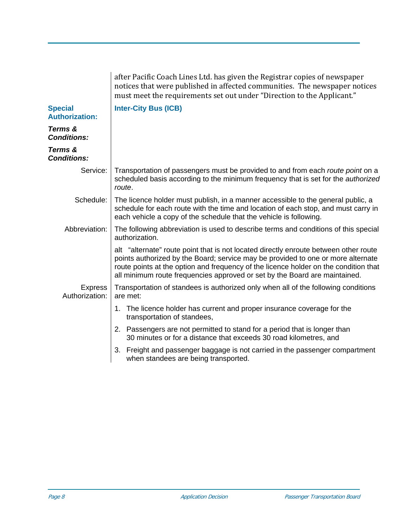|                                         | after Pacific Coach Lines Ltd. has given the Registrar copies of newspaper<br>notices that were published in affected communities. The newspaper notices<br>must meet the requirements set out under "Direction to the Applicant."                                                                                                             |
|-----------------------------------------|------------------------------------------------------------------------------------------------------------------------------------------------------------------------------------------------------------------------------------------------------------------------------------------------------------------------------------------------|
| <b>Special</b><br><b>Authorization:</b> | <b>Inter-City Bus (ICB)</b>                                                                                                                                                                                                                                                                                                                    |
| Terms &<br><b>Conditions:</b>           |                                                                                                                                                                                                                                                                                                                                                |
| Terms &<br><b>Conditions:</b>           |                                                                                                                                                                                                                                                                                                                                                |
| Service:                                | Transportation of passengers must be provided to and from each route point on a<br>scheduled basis according to the minimum frequency that is set for the <i>authorized</i><br>route.                                                                                                                                                          |
| Schedule:                               | The licence holder must publish, in a manner accessible to the general public, a<br>schedule for each route with the time and location of each stop, and must carry in<br>each vehicle a copy of the schedule that the vehicle is following.                                                                                                   |
| Abbreviation:                           | The following abbreviation is used to describe terms and conditions of this special<br>authorization.                                                                                                                                                                                                                                          |
|                                         | alt "alternate" route point that is not located directly enroute between other route<br>points authorized by the Board; service may be provided to one or more alternate<br>route points at the option and frequency of the licence holder on the condition that<br>all minimum route frequencies approved or set by the Board are maintained. |
| <b>Express</b><br>Authorization:        | Transportation of standees is authorized only when all of the following conditions<br>are met:                                                                                                                                                                                                                                                 |
|                                         | The licence holder has current and proper insurance coverage for the<br>1.<br>transportation of standees,                                                                                                                                                                                                                                      |
|                                         | 2. Passengers are not permitted to stand for a period that is longer than<br>30 minutes or for a distance that exceeds 30 road kilometres, and                                                                                                                                                                                                 |
|                                         | Freight and passenger baggage is not carried in the passenger compartment<br>3.<br>when standees are being transported.                                                                                                                                                                                                                        |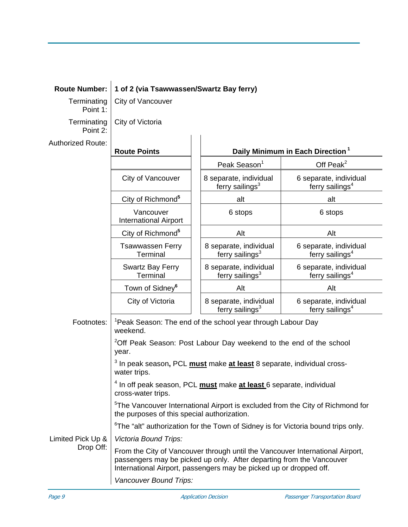| <b>Route Number:</b>           | 1 of 2 (via Tsawwassen/Swartz Bay ferry)                                                                                                                                                                                    |                                                       |                                                       |  |
|--------------------------------|-----------------------------------------------------------------------------------------------------------------------------------------------------------------------------------------------------------------------------|-------------------------------------------------------|-------------------------------------------------------|--|
| Terminating<br>Point 1:        | City of Vancouver                                                                                                                                                                                                           |                                                       |                                                       |  |
| Terminating<br>Point 2:        | City of Victoria                                                                                                                                                                                                            |                                                       |                                                       |  |
| <b>Authorized Route:</b>       |                                                                                                                                                                                                                             |                                                       |                                                       |  |
|                                | <b>Route Points</b>                                                                                                                                                                                                         |                                                       | Daily Minimum in Each Direction <sup>1</sup>          |  |
|                                |                                                                                                                                                                                                                             | Peak Season <sup>1</sup>                              | Off Peak $^2$                                         |  |
|                                | City of Vancouver                                                                                                                                                                                                           | 8 separate, individual<br>ferry sailings $3$          | 6 separate, individual<br>ferry sailings <sup>4</sup> |  |
|                                | City of Richmond <sup>5</sup>                                                                                                                                                                                               | alt                                                   | alt                                                   |  |
|                                | Vancouver<br><b>International Airport</b>                                                                                                                                                                                   | 6 stops                                               | 6 stops                                               |  |
|                                | City of Richmond <sup>5</sup>                                                                                                                                                                                               | Alt                                                   | Alt                                                   |  |
|                                | <b>Tsawwassen Ferry</b><br>Terminal                                                                                                                                                                                         | 8 separate, individual<br>ferry sailings <sup>3</sup> | 6 separate, individual<br>ferry sailings <sup>4</sup> |  |
|                                | <b>Swartz Bay Ferry</b><br>Terminal                                                                                                                                                                                         | 8 separate, individual<br>ferry sailings <sup>3</sup> | 6 separate, individual<br>ferry sailings <sup>4</sup> |  |
|                                | Town of Sidney <sup>6</sup>                                                                                                                                                                                                 | Alt                                                   | Alt                                                   |  |
|                                | City of Victoria                                                                                                                                                                                                            | 8 separate, individual<br>ferry sailings <sup>3</sup> | 6 separate, individual<br>ferry sailings <sup>4</sup> |  |
| Footnotes:                     | <sup>1</sup> Peak Season: The end of the school year through Labour Day<br>weekend.                                                                                                                                         |                                                       |                                                       |  |
|                                | <sup>2</sup> Off Peak Season: Post Labour Day weekend to the end of the school<br>year.                                                                                                                                     |                                                       |                                                       |  |
|                                | <sup>3</sup> In peak season, PCL <b>must</b> make at least 8 separate, individual cross-<br>water trips.                                                                                                                    |                                                       |                                                       |  |
|                                | <sup>4</sup> In off peak season, PCL <b>must</b> make at least 6 separate, individual<br>cross-water trips.                                                                                                                 |                                                       |                                                       |  |
|                                | <sup>5</sup> The Vancouver International Airport is excluded from the City of Richmond for<br>the purposes of this special authorization.                                                                                   |                                                       |                                                       |  |
|                                | <sup>6</sup> The "alt" authorization for the Town of Sidney is for Victoria bound trips only.                                                                                                                               |                                                       |                                                       |  |
| Limited Pick Up &<br>Drop Off: | <b>Victoria Bound Trips:</b>                                                                                                                                                                                                |                                                       |                                                       |  |
|                                | From the City of Vancouver through until the Vancouver International Airport,<br>passengers may be picked up only. After departing from the Vancouver<br>International Airport, passengers may be picked up or dropped off. |                                                       |                                                       |  |
|                                | Vancouver Bound Trips:                                                                                                                                                                                                      |                                                       |                                                       |  |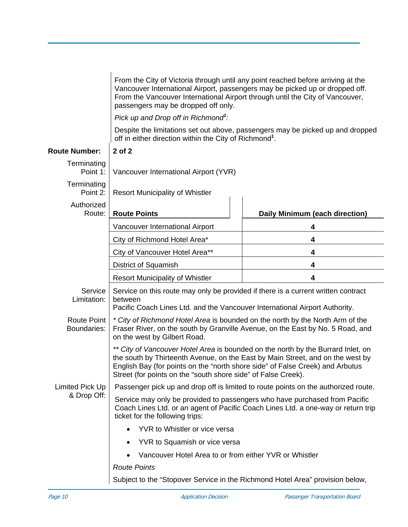From the City of Victoria through until any point reached before arriving at the Vancouver International Airport, passengers may be picked up or dropped off. From the Vancouver International Airport through until the City of Vancouver, passengers may be dropped off only.

*Pick up and Drop off in Richmond<sup>1</sup> :* 

Despite the limitations set out above, passengers may be picked up and dropped off in either direction within the City of Richmond**<sup>1</sup>** .

| <b>Route Number:</b>              | 2 of 2                                                                                                                                                                                                                                                                                                               |                                |  |
|-----------------------------------|----------------------------------------------------------------------------------------------------------------------------------------------------------------------------------------------------------------------------------------------------------------------------------------------------------------------|--------------------------------|--|
| Terminating<br>Point 1:           | Vancouver International Airport (YVR)                                                                                                                                                                                                                                                                                |                                |  |
| Terminating<br>Point 2:           | <b>Resort Municipality of Whistler</b>                                                                                                                                                                                                                                                                               |                                |  |
| Authorized<br>Route:              | <b>Route Points</b>                                                                                                                                                                                                                                                                                                  | Daily Minimum (each direction) |  |
|                                   | Vancouver International Airport                                                                                                                                                                                                                                                                                      | 4                              |  |
|                                   | City of Richmond Hotel Area*                                                                                                                                                                                                                                                                                         | 4                              |  |
|                                   | City of Vancouver Hotel Area**                                                                                                                                                                                                                                                                                       | 4                              |  |
|                                   | District of Squamish                                                                                                                                                                                                                                                                                                 | 4                              |  |
|                                   | <b>Resort Municipality of Whistler</b>                                                                                                                                                                                                                                                                               | 4                              |  |
| Service<br>Limitation:            | Service on this route may only be provided if there is a current written contract<br>between<br>Pacific Coach Lines Ltd. and the Vancouver International Airport Authority.                                                                                                                                          |                                |  |
| <b>Route Point</b><br>Boundaries: | * City of Richmond Hotel Area is bounded on the north by the North Arm of the<br>Fraser River, on the south by Granville Avenue, on the East by No. 5 Road, and<br>on the west by Gilbert Road.                                                                                                                      |                                |  |
|                                   | ** City of Vancouver Hotel Area is bounded on the north by the Burrard Inlet, on<br>the south by Thirteenth Avenue, on the East by Main Street, and on the west by<br>English Bay (for points on the "north shore side" of False Creek) and Arbutus<br>Street (for points on the "south shore side" of False Creek). |                                |  |
| Limited Pick Up                   | Passenger pick up and drop off is limited to route points on the authorized route.                                                                                                                                                                                                                                   |                                |  |
| & Drop Off:                       | Service may only be provided to passengers who have purchased from Pacific<br>Coach Lines Ltd. or an agent of Pacific Coach Lines Ltd. a one-way or return trip<br>ticket for the following trips:                                                                                                                   |                                |  |
|                                   | YVR to Whistler or vice versa                                                                                                                                                                                                                                                                                        |                                |  |
|                                   | YVR to Squamish or vice versa                                                                                                                                                                                                                                                                                        |                                |  |
|                                   | Vancouver Hotel Area to or from either YVR or Whistler                                                                                                                                                                                                                                                               |                                |  |
|                                   | <b>Route Points</b>                                                                                                                                                                                                                                                                                                  |                                |  |
|                                   | Subject to the "Stopover Service in the Richmond Hotel Area" provision below,                                                                                                                                                                                                                                        |                                |  |